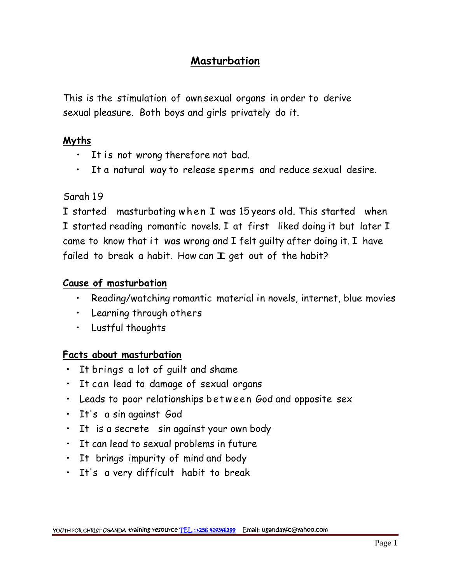# **Masturbation**

This is the stimulation of own sexual organs in order to derive sexual pleasure. Both boys and girls privately do it.

#### **Myths**

- 
- It is not wrong therefore not bad.<br>• It a natural way to release sperms and reduce sexual desire.

### Sarah 19

I started masturbating when I was 15 years old. This started when I started reading romantic novels. I at first liked doing it but later I came to know that it was wrong and  $I$  felt guilty after doing it. I have failed to break a habit. How can  $\mathbf I$  get out of the habit?

### **Cause of masturbation**

- Reading/watching romantic material in novels, internet, blue movies
- Learning through others
- Lustful thoughts

## **Facts about masturbation**

- It brings a lot of guilt and shame
- It can lead to damage of sexual organs
- Leads to poor relationships between God and opposite sex
- It's a sin against God
- It is a secrete sin against your own body
- It can lead to sexual problems in future
- It brings impurity of mind and body
- It's a very difficult habit to break